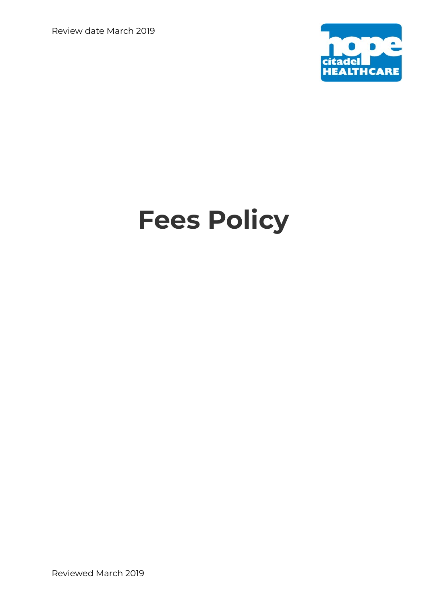Review date March 2019



# **Fees Policy**

Reviewed March 2019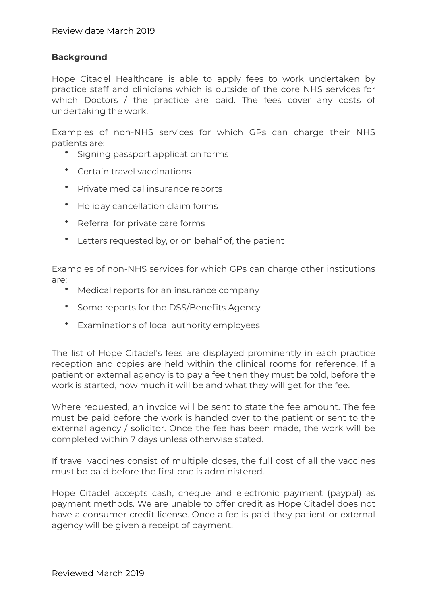#### **Background**

Hope Citadel Healthcare is able to apply fees to work undertaken by practice staff and clinicians which is outside of the core NHS services for which Doctors / the practice are paid. The fees cover any costs of undertaking the work.

Examples of non-NHS services for which GPs can charge their NHS patients are:

- Signing passport application forms
- Certain travel vaccinations
- Private medical insurance reports
- Holiday cancellation claim forms
- Referral for private care forms
- Letters requested by, or on behalf of, the patient

Examples of non-NHS services for which GPs can charge other institutions are:

- Medical reports for an insurance company
- Some reports for the DSS/Benefits Agency
- Examinations of local authority employees

The list of Hope Citadel's fees are displayed prominently in each practice reception and copies are held within the clinical rooms for reference. If a patient or external agency is to pay a fee then they must be told, before the work is started, how much it will be and what they will get for the fee.

Where requested, an invoice will be sent to state the fee amount. The fee must be paid before the work is handed over to the patient or sent to the external agency / solicitor. Once the fee has been made, the work will be completed within 7 days unless otherwise stated.

If travel vaccines consist of multiple doses, the full cost of all the vaccines must be paid before the first one is administered.

Hope Citadel accepts cash, cheque and electronic payment (paypal) as payment methods. We are unable to offer credit as Hope Citadel does not have a consumer credit license. Once a fee is paid they patient or external agency will be given a receipt of payment.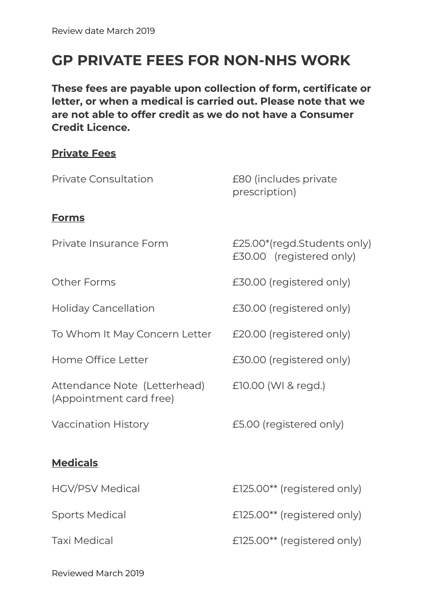## **GP PRIVATE FEES FOR NON-NHS WORK**

**These fees are payable upon collection of form, certificate or letter, or when a medical is carried out. Please note that we are not able to offer credit as we do not have a Consumer Credit Licence.** 

### **Private Fees**

| <b>Private Consultation</b>                             | £80 (includes private<br>prescription)                  |
|---------------------------------------------------------|---------------------------------------------------------|
| <b>Forms</b>                                            |                                                         |
| Private Insurance Form                                  | £25.00*(regd.Students only)<br>£30.00 (registered only) |
| <b>Other Forms</b>                                      | £30.00 (registered only)                                |
| <b>Holiday Cancellation</b>                             | £30.00 (registered only)                                |
| To Whom It May Concern Letter                           | £20.00 (registered only)                                |
| Home Office Letter                                      | £30.00 (registered only)                                |
| Attendance Note (Letterhead)<br>(Appointment card free) | £10.00 (WI & regd.)                                     |
| <b>Vaccination History</b>                              | £5.00 (registered only)                                 |
| <b>Medicals</b>                                         |                                                         |
|                                                         |                                                         |
| <b>HGV/PSV Medical</b>                                  | £125.00** (registered only)                             |
| <b>Sports Medical</b>                                   | £125.00** (registered only)                             |
| <b>Taxi Medical</b>                                     | £125.00** (registered only)                             |

Reviewed March 2019